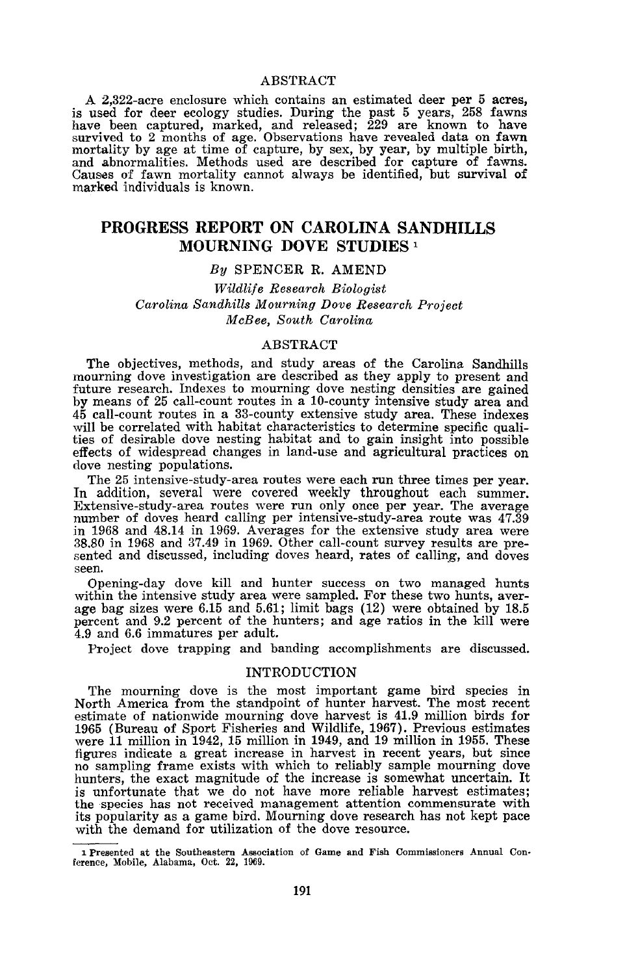## ABSTRACT

A 2,322-acre enclosure which contains an estimated deer per 5 acres, is used for deer ecology studies. During the past 5 years, 258 fawns have been captured, marked, and released; 229 are known to have survived to 2 months of age. Observations have revealed data on fawn mortality by age at time of capture, by sex, by year, by multiple birth, and abnormalities. Methods used are described for capture of fawns. Causes of fawn mortality cannot always be identified, but survival of marked :individuals is known.

# **PROGRESS REPORT ON CAROLINA** SANDHILLS **MOURNING DOVE STUDIES** <sup>1</sup>

#### *By* SPENCER R. AMEND

*Wildlife Research Biologist Carolina Sandhills Mourning Dove Research Project McBee, South Carolina*

## ABSTRACT

The objectives, methods, and study areas of the Carolina Sandhills mourning dove investigation are described as they apply to present and future research. Indexes to mourning dove nesting densities are gained by means of 25 call-count routes in a 10-county intensive study area and 45 call-count routes in a 33-county extensive study area. These indexes will be correlated with habitat characteristics to determine specific qualities of desirable dove nesting habitat and to gain insight into possible effects of widespread changes in land-use and agricultural practices on dove nesting populations.

The 25 intensive-study-area routes were each run three times per year.<br>In addition, several were covered weekly throughout each summer. Extensive-study-area routes were run only once per year. The average number of doves heard calling per intensive-study-area route was 47.39 in <sup>1968</sup> and 48.14 in 1969. Averages for the extensive study area were 38.80 in <sup>1968</sup> and 37.49 in 1969. Other call-count survey results are presented and discussed, including doves heard, rates of calling, and doves seen.

Opening-day dove kill and hunter success on two managed hunts age bag sizes were 6.15 and 5.61; limit bags (12) were obtained by 18.5 percent and 9.2 percent of the hunters; and age ratios in the kill were 4.9 and 6.6 immatures per adult.

Project dove trapping and banding accomplishments are discussed.

# INTRODUCTION

The mourning dove is the most important game bird species in North America from the standpoint of hunter harvest. The most recent estimate of nationwide mourning dove harvest is 41.9 million birds for <sup>1965</sup> (Bureau of Sport Fisheries and Wildlife, 1967). Previous estimates were <sup>11</sup> million in 1942, <sup>15</sup> million in 1949, and <sup>19</sup> million in 1955. These figures indicate <sup>a</sup> great increase in harvest in recent years, but since no sampling frame exists with which to reliably sample mourning dove hunters, the exact magnitude of the increase is somewhat uncertain. It is unfortunate that we do not have more reliable harvest estimates; the species has not received management attention commensurate with its popularity as a game bird. Mourning dove research has not kept pace with the demand for utilization of the dove resource.

<sup>1</sup> Presented at the Southeastern Association of Game and Fish Commissioners Annual Conference, Mobile, Alabama, Oct. 22, 1969.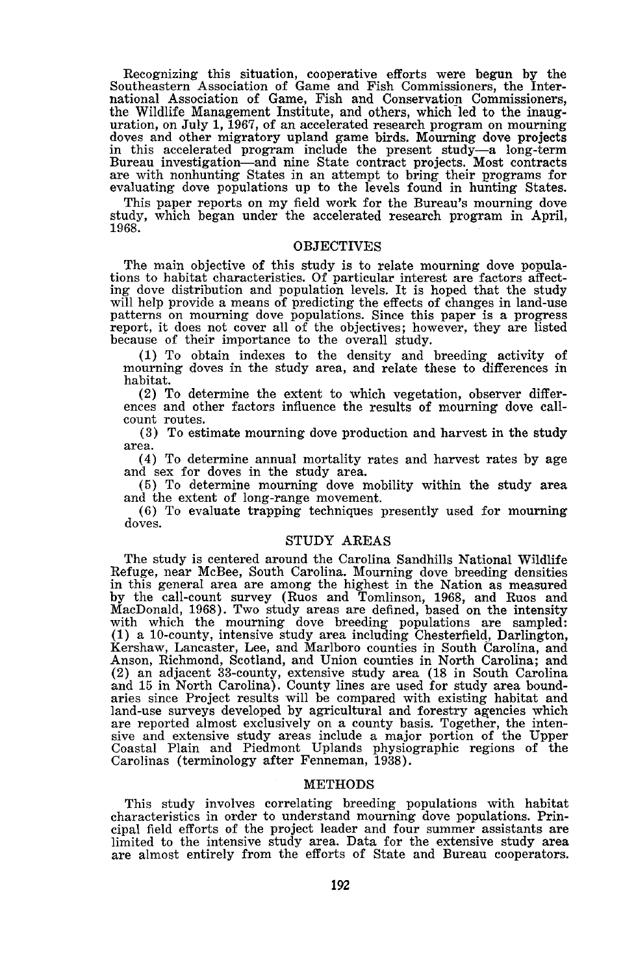Recognizing this situation, cooperative efforts were begun by the Southeastern Association of Game and Fish Commissioners, the International Association of Game, Fish and Conservation Commissioners, the Wildlife Management Institute, and others, which led to the inauguration, on July 1, 1967, of an accelerated research program on mourning doves and other migratory upland game birds. Mourning dove projects in this accelerated program include the present study-a long-term Bureau investigation-and nine State contract projects. Most contracts are with nonhunting States in an attempt to bring their programs for evaluating dove populations up to the levels found in hunting States.

This paper reports on my field work for the Bureau's mourning dove study, which began under the accelerated research program in April, 1968.

#### **OBJECTIVES**

The main objective of this study is to relate mourning dove populations to habitat characteristics. Of particular interest are factors affect-ing dove distribution and population levels. It is hoped that the study will help provide a means of predicting the effects of changes in land-use patterns on mourning dove populations. Since this paper is a progress report, it does not cover all of the objectives; however, they are listed because of their importance to the overall study.

(1) To obtain indexes to the density and breeding activity of mourning doves in the study area, and relate these to differences in habitat.<br>(2) To determine the extent to which vegetation, observer differ-

ences and other factors influence the results of mourning dove callcount routes.

(3) To estimate mourning dove production and harvest in the study area.

(4) To determine annual mortality rates and harvest rates by age

and sex for doves in the study area. (5) To determine mourning dove mobility within the study area and the extent of long-range movement.

(6) To evaluate trapping techniques presently used for mourning doves.

# STUDY AREAS

The study is centered around the Carolina Sandhills National Wildlife Refuge, near McBee, South Carolina. Mourning dove breeding densities in this general area are among the highest in the Nation as measured by the call-count survey (Ruos and Tomlinson, 1968, and Ruos and MacDonald, 1968). Two study areas are defined, based on the intensity with which the mourning dove breeding populations are sampled: (1) a 10-county, intensive study area including Chesterfield, Darlington, Kershaw, Lancaster, Lee, and Marlboro counties in South Carolina, and Anson, Richmond, Scotland, and Union counties in North Carolina; and (2) an adjacent 33-county, extensive study area (18 in South Carolina and 15 in North Carolina). County lines are used for study area boundaries since Project results will be compared with existing habitat and land-use surveys developed by agricultural and forestry agencies which are reported almost exclusively on <sup>a</sup> county basis. Together, the inten-sive and extensive study areas include a major portion of the Upper Coastal Plain and Piedmont Uplands physiographic regions of the Carolinas (terminology after Fenneman, 1938).

#### METHODS

This study involves correlating breeding populations with habitat characteristics in order to understand mourning dove populations. Principal field efforts of the project leader and four summer assistants are limited to the intensive study area. Data for the extensive study area are almost entirely from the efforts of State and Bureau cooperators.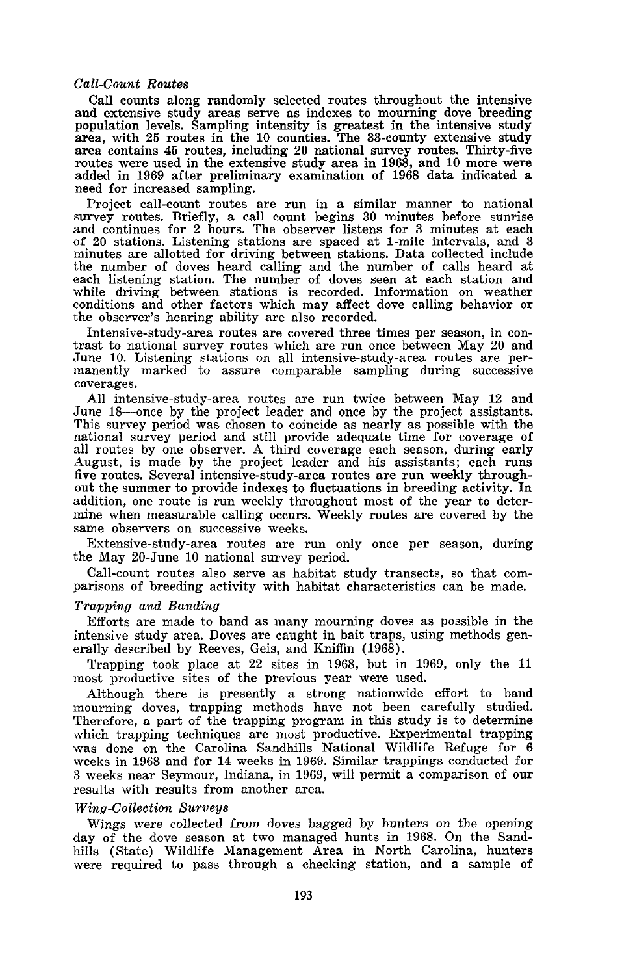# *Call-Count Routes*

Call counts along randomly selected routes throughout the intensive and extensive study areas serve as indexes to mourning dove breeding population levels. Sampling intensity is greatest in the intensive study area, with 25 routes in the 10 counties. The 33-county extensive study area, with <sup>25</sup> routes in the <sup>10</sup> counties. The 33-county extensive study area contains <sup>45</sup> routes, including <sup>20</sup> national survey routes. Thirty-five routes were used in the extensive study area in 1968, and <sup>10</sup> more were added in <sup>1969</sup> after preliminary examination of <sup>1968</sup> data indicated <sup>a</sup> need for increased sampling.

Project call-count routes are run in a similar manner to national survey routes. Briefly, a call count begins 30 minutes before sunrise and continues for 2 hours. The observer listens for 3 minutes at each<br>of 20 stations. Listening stations are spaced at 1-mile intervals, and 3<br>minutes are allotted for driving between stations. Data collected include<br>the n each listening station. The number of doves seen at each station and while driving between stations is recorded. Information on weather conditions and other factors which may affect dove calling behavior or the observer's hearing ability are also recorded.

Intensive-study-area routes are covered three times per season, in con- trast to national survey routes which are run once between May <sup>20</sup> and June 10. Listening stations on all intensive-study-area routes are permanently marked to assure comparable sampling during successive coverages.

All intensive-study-area routes are run twice between May 12 and June 18—once by the project leader and once by the project assistants. This survey period was chosen to coincide as nearly as possible with the national survey period and still provide adequate time for coverage of all routes by one observer. A third coverage each season, during early August, is made by the project leader and his assistants; each runs five routes. Several intensive-study-area routes are run weekly throughfive routes. Several intensive-study-area routes are run weekly through-<br>out the summer to provide indexes to fluctuations in breeding activity. In addition, one route is run weekly throughout most of the year to determine when measurable calling occurs. Weekly routes are covered by the same observers on successive weeks.

Extensive-study-area routes are run only once per season, during the May 20-June 10 national survey period.

Call-count routes also serve as habitat study transects, so that comparisons of breeding activity with habitat characteristics can be made.

# *Trapping and Banding*

Efforts are made to band as many mourning doves as possible in the intensive study area. Doves are caught in bait traps, using methods generally described by Reeves, Geis, and Kniffin (1968).

Trapping took place at 22 sites in 1968, but in 1969, only the 11 most productive sites of the previous year were used.

Although there is presently a strong nationwide effort to band mourning doves, trapping methods have not been carefully studied. Therefore, a part of the trapping program in this study is to determine which trapping techniques are most productive. Experimental trapping was done on the Carolina Sandhills National Wildlife Refuge for 6 weeks in 1968 and for 14 weeks in 1969. Similar trappings conducted for 3 weeks near Seymour, Indiana, in 1969, will permit a comparison of our results with results from another area.

#### *Wing-Collection Surveys*

Wings were collected from doves bagged by hunters on the opening day of the dove season at two managed hunts in 1968. On the Sandhills (State) Wildlife Management Area in North Carolina, hunters were required to pass through a checking station, and a sample of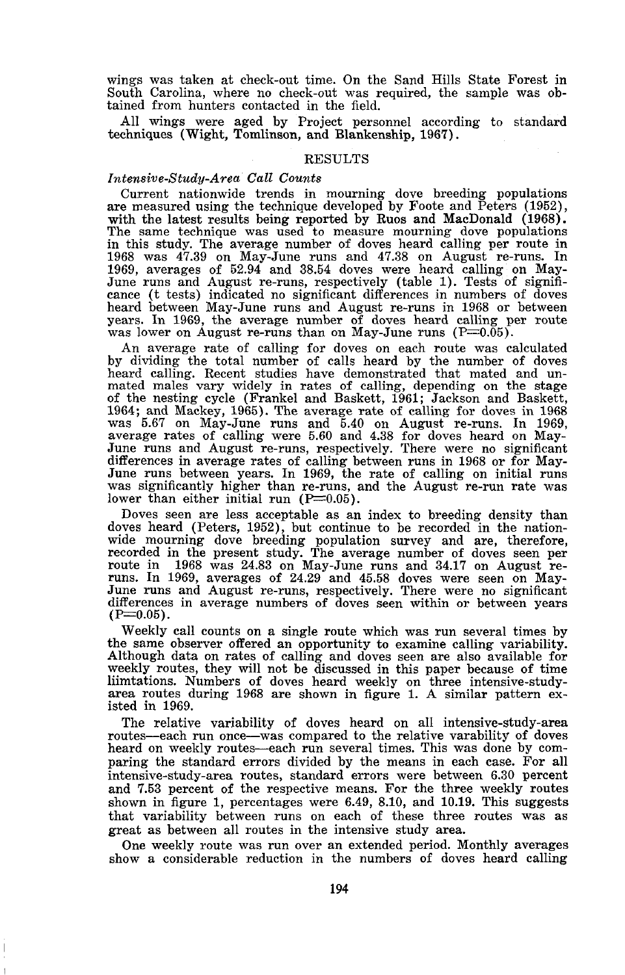wings was taken at check-out time. On the Sand Hills State Forest in South Carolina, where no check-out was required, the sample was obtained from hunters contacted in the field.

All wings were aged by Project personnel according to standard techniques (Wight, Tomlinson, and Blankenship, 1967).

# RESULTS

### *lntensive-Study-Area Call Counts*

Current nationwide trends in mourning dove breeding populations are measured using the technique developed by Foote and Peters (1952), with the latest results being reported by Ruos and MacDonald (1968). The same technique was used to measure mourning dove populations in this study. The average number of doves heard calling per route in 1968 was 47.39 on May-June runs and 47.38 on August re-runs. In 1969, averages of 52.94 and 38.54 doves were heard calling on Maycance (t tests) indicated no significant differences in numbers of doves heard between May-June runs and August re-runs in 1968 or between years. In 1969, the average number of doves heard calling per route was lower on August re-runs than on May-June runs  $(P=0.05)$ .

An average rate of calling for doves on each route was calculated by dividing the total number of calls heard by the number of doves heard calling. Recent studies have demonstrated that mated and unmated males vary widely in rates of calling, depending on the stage of the nesting cycle (Frankel and Baskett, 1961; Jackson and Baskett, 1964; and Mackey, 1965). The average rate of calling for doves in <sup>1968</sup> was 5.67 on May-June runs and 5.40 on August re-runs. In 1969, average rates of calling were 5.60 and 4.38 for doves heard on May-June runs and August re-runs, respectively. There were no significant differences in average rates of calling between runs in 1968 or for May-<br>June runs between years. In 1969, the rate of calling on initial runs<br>was significantly higher than re-runs, and the August re-run rate was<br>lower tha

Doves seen are less acceptable as an index to breeding density than doves heard (Peters, 1952), but continue to be recorded in the nationwide mourning dove breeding population survey and are, therefore, recorded in the present study. The average number of doves seen per route in <sup>1968</sup> was 24.83 on May-June runs and 34.17 on August re- runs. In 1969, averages of 24.29 and 45.58 doves were seen on May-June runs and August re-runs, respectively. There were no significant differences in average numbers of doves seen within or between years (P=0.05).

Weekly call counts on <sup>a</sup> single route which was run several times by the same observer offered an opportunity to examine calling variability. Although data on rates of calling and doves seen are also available for weekly routes, they will not be discussed in this paper because of time liimtations. Numbers of doves heard weekly on three intensive-study- area routes during <sup>1968</sup> are shown in figure 1. <sup>A</sup> similar pattern ex- isted in 1969.

The relative variability of doves heard on all intensive-study-area routes-each run once-was compared to the relative varability of doves heard on weekly routes-each run several times. This was done by comparing the standard errors divided by the means in each case. For all intensive-study-area routes, standard errors were between 6.30 percent and 7.53 percent of the respective means. For the three weekly routes shown in figure 1, percentages were 6.49, 8.10, and 10.19. This suggests that variability between runs on each of these three routes was as great as between all routes in the intensive study area.

One weekly route was run over an extended period. Monthly averages show a considerable reduction in the numbers of doves heard calling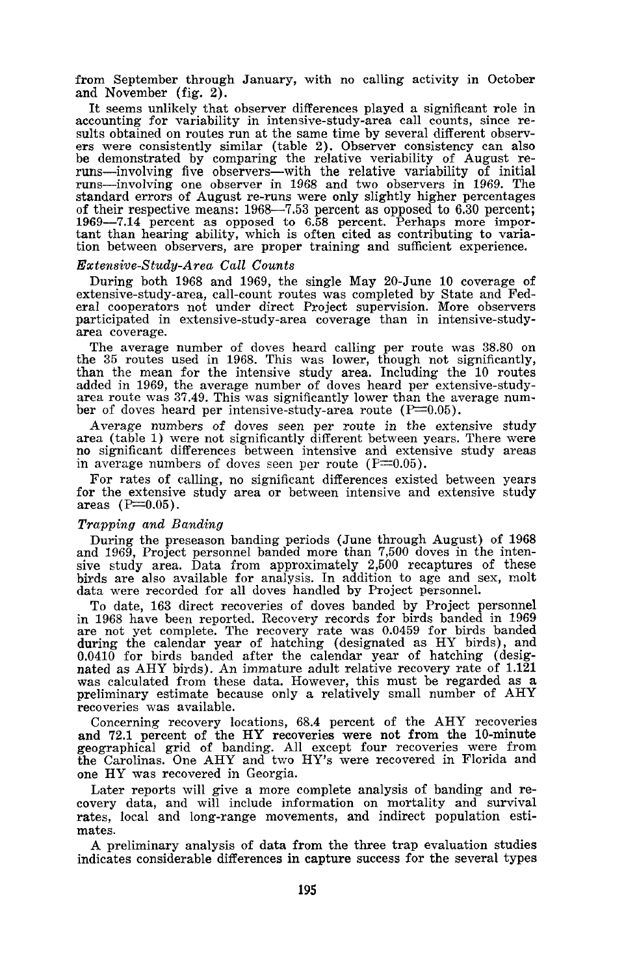from September through January, with no calling activity in October and November (fig. 2).

It seems unlikely that observer differences played a significant role in accounting for variability in intensive-study-area call counts, since results obtained on routes run at the same time by several different observ-<br>ers were consistently similar (table 2). Observer consistency can also be demonstrated by comparing the relative veriability of August reruns-involving five observers-with the relative variability of initial runs-involving one observer in 1968 and two observers in 1969. The standard errors of August re-runs were only slightly higher percentages of their respective means: 1968-7.53 percent as opposed to 6.30 percent; 1969-7.14 percent as opposed to 6.58 percent. Perhaps more important than hearing ability, which is often cited as contributing to variation between observers, are proper training and sufficient experience.

## *Extensive-Study-Area Call Counts*

During both 1968 and 1969, the single May 20-June 10 coverage of extensive-study-area, call-count routes was completed by State and Federal cooperators not under direct Project supervision. More observers participated in extensive-study-area coverage than in intensive-study- area coverage.

The average number of doves heard calling per route was 38.80 on the <sup>35</sup> routes used in 1968. This was lower, though not significantly, than the mean for the intensive study area. Including the 10 routes added in 1969, the average number of doves heard per extensive-study-<br>area route was 37.49. This was significantly lower than the average num-<br>ber of doves heard per intensive-study-area route ( $P=0.05$ ).

Average numbers of doves seen per route in the extensive study<br>area (table 1) were not significantly different between years. There were<br>no significant differences between intensive and extensive study areas<br>in average nu

For rates of calling, no significant differences existed between years for the extensive study area or between intensive and extensive study areas  $(P=0.05)$ .

### *Trapping and Banding*

During the preseason banding periods (June through August) of 1968 and 1969, Project personnel banded more than 7,500 doves in the intensive study area. Data from approximately 2,500 recaptures of these birds are also available for analysis. In addition to age and sex, molt data were recorded for all doves handled by Project personnel.

To date, 163 direct recoveries of doves banded by Project personnel in <sup>1968</sup> have been reported. Recovery records for birds banded in <sup>1969</sup> are not yet complete. The recovery rate was 0.0459 for birds banded during the calendar year of hatching (designated as HY birds), and 0.0410 for birds banded after the calendar year of hatching (designated as AHY birds). An immature adult relative recovery rate of 1.121 was calculated from these data. However, this must be regarded as <sup>a</sup> preliminary estimate because only <sup>a</sup> relatively small number of AHY preliminary estimate because only a relatively small number of AHY recoveries was available.

Concerning recovery locations, 68.4 percent of the AHY recoveries and 72.1 percent of the HY recoveries were not from the 10-minute geographical grid of banding. All except four recoveries were from the Carolinas. One AHY and two HY's were recovered in Florida and one HY was recovered in Georgia.

Later reports will give <sup>a</sup> more complete analysis of banding and re- covery data, and will include information on mortality and survival rates, local and long-range movements, and indirect population estimates.

A preliminary analysis of data from the three trap evaluation studies indicates considerable differences in capture success for the several types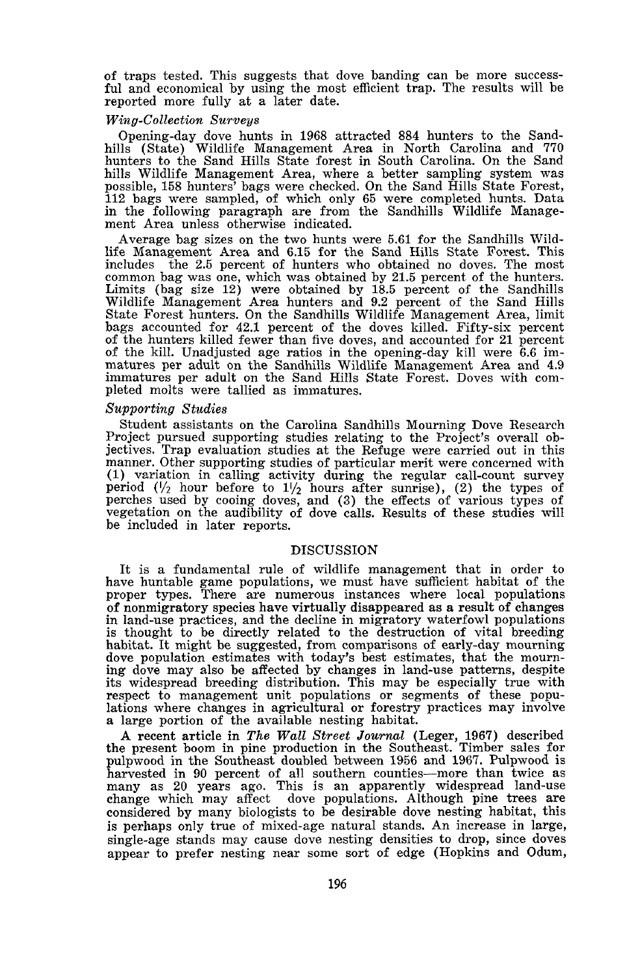of traps tested. This suggests that dove banding can be more success- ful and economical by using the most efficient trap. The results will be reported more fully at a later date.

#### *Wing-Collection Surveys*

Opening-day dove hunts in 1968 attracted 884 hunters to the Sandhills (State) Wildlife Management Area in North Carolina and 770 hunters to the Sand Hills State forest in South Carolina. On the Sand hills Wildlife Management Area, where <sup>a</sup> better sampling system was possible, <sup>158</sup> hunters' bags were checked. On the Sand Hills State Forest, 112 bags were sampled, of which only 65 were completed hunts. Data in the following paragraph are from the Sandhills Wildlife Management Area unless otherwise indicated.

Average bag sizes on the two hunts were 5.61 for the Sandhills Wildlife Management Area and 6.15 for the Sand Hills State Forest. This includes the 2.5 percent of hunters who obtained no doves. The most common bag was one, which was obtained by 21.5 percent of the hunters. Limits (bag size 12) were obtained by 18.5 percent of the Sandhills Wildlife Management Area hunters and 9.2 percent of the Sand Hills State Forest hunters. On the Sandhills Wildlife Management Area, limit bags accounted for 42.1 percent of the doves killed. Fifty-six percent of the hunters killed fewer than five doves, and accounted for 21 percent of the kill. Unadjusted age ratios in the opening-day kill were 6.6 immatures per adult on the Sandhills Wildlife Management Area and 4.9 immatures per adult on the Sand Hills State Forest. Doves with com- pleted molts were tallied as immatures.

## *Supporting Studies*

Student assistants on the Carolina Sandhil1s Mourning Dove Research Project pursued supporting studies relating to the Project's overall objectives. Trap evaluation studies at the Refuge were carried out in this manner. Other supporting studies of particular merit were concerned with (1) variation in calling activity during the regular call-count survey period  $\left(\frac{1}{2}\right)$  hour before to  $1\frac{1}{2}$  hours after sunrise), (2) the types of perches used by cooing doves, and (3) the effects of various types of vegetation on the audibility of dove calls. Results of these studies will be included in later reports.

## DISCUSSION

It is a fundamental rule of wildlife management that in order to have huntable game populations, we must have sufficient habitat of the proper types. There are numerous instances where local populations of nonmigratory species have virtually disappeared as a result of changes in land-use practices, and the decline in migratory waterfowl populations is thought to be directly related to the destruction of vital breeding habitat. It might be suggested, from comparisons of early-day mourning dove population estimates with today's best estimates, that the mourn- ing dove may also be affected by changes in land-use patterns, despite its widespread breeding distribution. This may be especially true with respect to management unit populations or segments of these populations where changes in agricultural or forestry practices may involve <sup>a</sup> large portion of the available nesting habitat.

A recent article in *The Wall Street Journal* (Leger, 1967) described<br>the present boom in pine production in the Southeast. Timber sales for pulpwood in the Southeast doubled between 1956 and 1967. Pulpwood is harvested in <sup>90</sup> percent of all southern counties-more than twice as many as <sup>20</sup> years ago. This is an apparently widespread land-use change which may affect dove populations. Although pine trees are considered by many biologists to be desirable dove nesting habitat, this is perhaps only true of mixed-age natural stands. An increase in large, single-age stands may cause dove nesting densities to drop, since doves appear to prefer nesting near some sort of edge (Hopkins and Odum,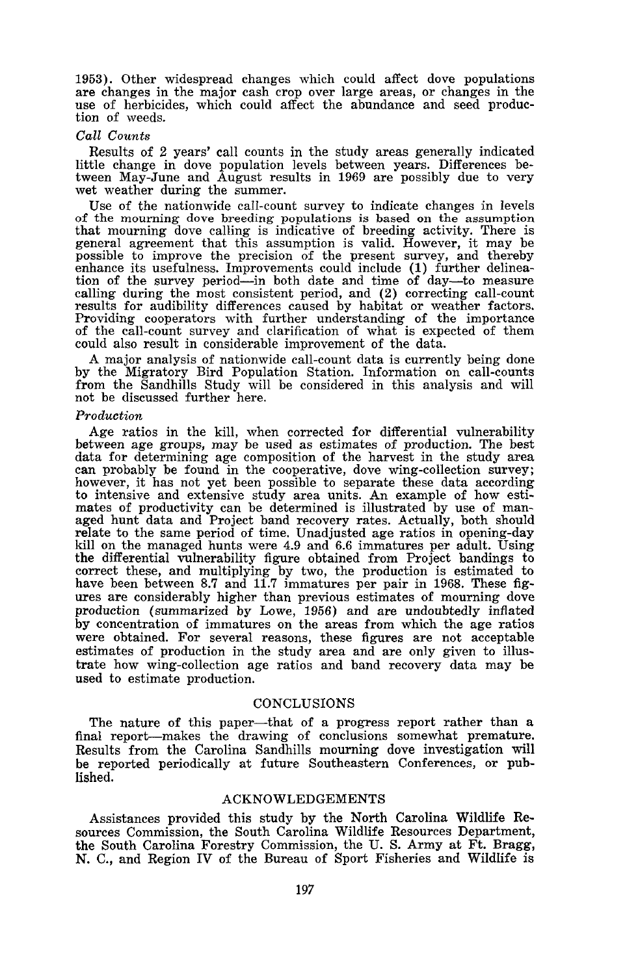1953). Other widespread changes which could affect dove populations are changes in the major cash crop over large areas, or changes in the use of herbicides, which could affect the abundance and seed production of weeds.

#### *Call Counts*

Results of 2 years' call counts in the study areas generally indicated little change in dove population levels between years. Differences be-tween May-June and August results in 1969 are possibly due to very wet weather during the summer.

Use of the nationwide call-count survey to indicate changes in levels of the mourning dove breeding populations is based on the assumption that mourning dove calling is indicative of breeding activity. There is general agreement that this assumption is valid. However, it may be possible to improve the precision of the present survey, and thereby enhance its usefulness. Improvements could include (1) further delineation of the survey period-in both date and time of day-to measure calling during the most consistent period, and (2) correcting call-count results for audibility differences caused by habitat or weather factors. Providing cooperators with further understanding of the importance of the call-count survey and clarification of what is expected of them could also result in considerable improvement of the data.

A major analysis of nationwide call-count data is currently being done by the Migratory Bird Population Station. Information on call-counts from the Sandhills Study will be considered in this analysis and will not be discussed further here.

#### *Production*

Age ratios in the kill, when corrected for differential vulnerability between age groups, may be used as estimates of production. The best data for determining age composition of the harvest in the study area can probably be found in the cooperative, dove wing-collection survey; however, it has not yet been possible to separate these data according to intensive and extensive study area units. An example of how esti-<br>mates of productivity can be determined is illustrated by use of manmates of productivity can be determined is illustrated by use of man- aged hunt data and Project band recovery rates. Actually, both should relate to the same period of time. Unadjusted age ratios in opening-day kill on the managed hunts were 4.9 and 6.6 immatures per adult. Using the differential vulnerability figure obtained from Project bandings to correct these, and multiplying by two, the production is estimated to have been between 8.7 and 11.7 immatures per pair in 1968. These figures are considerably higher than previous estimates of mourning dove production (summarized by Lowe, 1956) and are undoubtedly inflated by concentration of immatures on the areas from which the age ratios were obtained. For several reasons, these figures are not acceptable estimates of production in the study area and are only given to illustrate how wing-collection age ratios and band recovery data may be used to estimate production.

## CONCLUSIONS

The nature of this paper-that of <sup>a</sup> progress report rather than <sup>a</sup> final report-makes the drawing of conclusions somewhat premature. Results from the Carolina Sandhills mourning dove investigation will be reported periodically at future Southeastern Conferences, or published.

# ACKNOWLEDGEMENTS

Assistances provided this study by the North Carolina Wildlife Resources Commission, the South Carolina Wildlife Resources Department, the South Carolina Forestry Commission, the U. S. Army at Ft. Bragg, N. C., and Region IV of the Bureau of Sport Fisheries and Wildlife is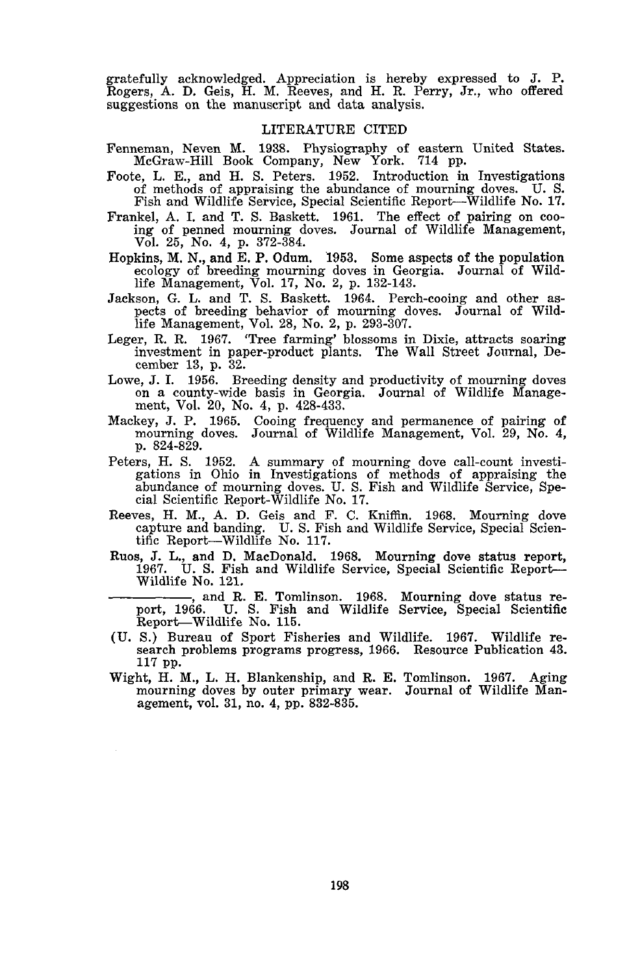gratefully acknowledged. Appreciation is hereby expressed to J. P. Rogers, A. D. Geis, H. M. Reeves, and H. R. Perry, Jr., who offered suggestions on the manuscript and data analysis.

# LITERATURE CITED

- Fenneman, Neven M. 1938. Physiography of eastern United States. McGraw-Hill Book Company, New York. 714 pp.
- Foote, L. E., and H. S. Peters. 1952. Introduction in Investigations of methods of appraising the abundance of mourning doves. U. S. Fish and Wildlife Service, Special Scientific Report-Wildlife No. 17.
- Frankel, A. 1. and T. S. Baskett. 1961. The effect of pairing on coo- ing of penned mourning doves. Journal of Wildlife Management, Vol. 25, No.4, p. 372-384.
- Hopkins, M. N., and E. P. Odum. 1953. Some aspects of the population ecology of breeding mourning doves in Georgia. Journal of Wildlife Management, Vol. 17, No. 2, p. 132-143.
- Jackson, G. L. and T. S. Baskett. 1964. Perch-cooing and other as- pects of breeding behavior of mourning doves. Journal of Wildlife Management, Vol. 28, No.2, p. 293-307.
- Leger, R. R. 1967. 'Tree farming' blossoms in Dixie, attracts soaring investment in paper-product plants. The Wall Street Journal, December 13, p. 32.
- Lowe, J. 1. 1956. Breeding density and productivity of mourning doves on <sup>a</sup> county-wide basis in Georgia. Journal of Wildlife Management, Vol. 20, No.4, p. 428-433.
- Mackey, J. P. 1965. Cooing frequency and permanence of pairing of mourning doves. Journal of Wildlife Management, Vol. 29, No.4, p. 824-829.
- Peters, H. S. 1952. A summary of mourning dove call-count investigations in Ohio in Investigations of methods of appraising the abundance of mourning doves. U. S. Fish and Wildlife Service, Special Scientific Report-Wildlife No. 17.
- Reeves, H. M., A. D. Geis and F. C. Kniffin. 1968. Mourning dove capture and banding. U. S. Fish and Wildlife Service, Special Scientific Report-Wildlife No. 117.
- Ruos, J. L., and D. MacDonald. 1968. Mourning dove status report, 1967. U. S. Fish and Wildlife Service, Special Scientific Report-Wildlife No. 121.

and R. E. Tomlinson. 1968. Mourning dove status report, 1966. U. S. Fish and Wildlife Service, Special Scientific Report-Wildlife No. 115.

- (U. S.) Bureau of Sport Fisheries and Wildlife. 1967. Wildlife re- search problems programs progress, 1966. Resource Publication 43. 117 pp.
- Wight, H. M., L. H. Blankenship, and R. E. Tomlinson. 1967. Aging mourning doves by outer primary wear. Journal of Wildlife Management, vol. 31, no. 4, pp. 832-835.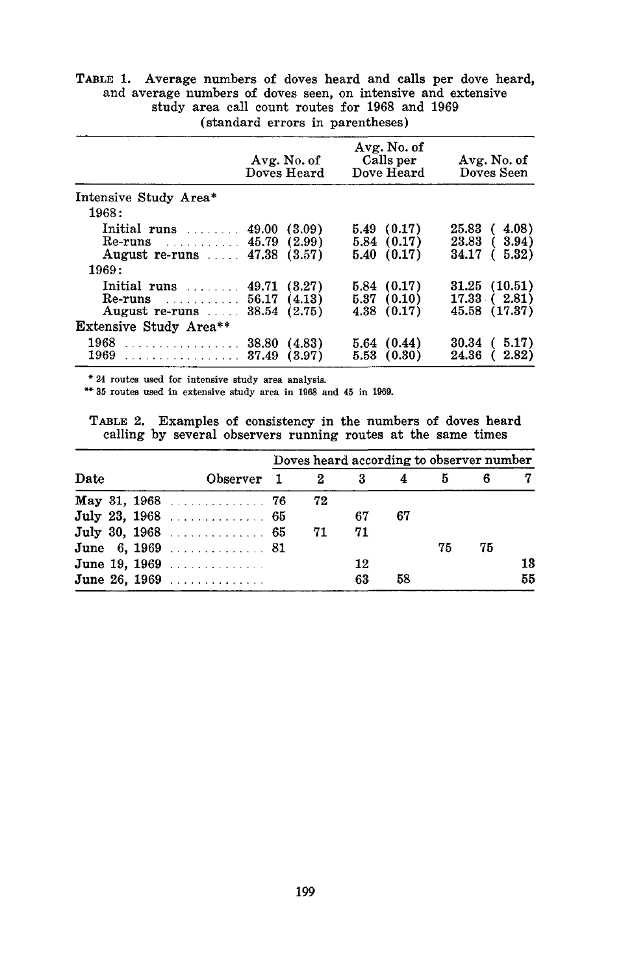| study area call count routes for 1968 and 1969<br>(standard errors in parentheses) |                            |                                        |                           |  |  |  |  |  |  |  |
|------------------------------------------------------------------------------------|----------------------------|----------------------------------------|---------------------------|--|--|--|--|--|--|--|
|                                                                                    | Avg. No. of<br>Doves Heard | Avg. No. of<br>Calls per<br>Dove Heard | Avg. No. of<br>Doves Seen |  |  |  |  |  |  |  |
| Intensive Study Area*                                                              |                            |                                        |                           |  |  |  |  |  |  |  |
| 1968:                                                                              |                            |                                        |                           |  |  |  |  |  |  |  |
| Initial runs $\ldots$ 49.00 (3.09)                                                 |                            | 5.49(0.17)                             | 25.83 ( 4.08)             |  |  |  |  |  |  |  |
| Re-runs $(2.99)$                                                                   |                            | 5.84(0.17)                             | 23.83 ( 3.94)             |  |  |  |  |  |  |  |
| August re-runs  47.38 (3.57)                                                       |                            | 5.40(0.17)                             | 34.17 ( 5.32)             |  |  |  |  |  |  |  |
| 1969:                                                                              |                            |                                        |                           |  |  |  |  |  |  |  |
| Initial runs $\ldots$ 49.71 (3.27)                                                 |                            | 5.84 (0.17)                            | $31.25$ $(10.51)$         |  |  |  |  |  |  |  |
| Re-runs 56.17 (4.13)                                                               |                            | 5.37(0.10)                             | 17.33(2.81)               |  |  |  |  |  |  |  |
| August re-runs  38.54 (2.75)                                                       |                            | 4.38(0.17)                             | 45.58 (17.37)             |  |  |  |  |  |  |  |
| <b>Extensive Study Area**</b>                                                      |                            |                                        |                           |  |  |  |  |  |  |  |

TABLE 1. Average numbers of doves heard and calls per dove heard, and average numbers of doves seen, on intensive and extensive

\* 24 routes used for intensive study area analysis.

\*\* 35 routes used in extensive study area in 1968 and 45 in 1969.

TABLE 2. Examples of consistency in the numbers of doves heard calling by several observers running routes at the same times

<sup>1968</sup> ........... 38.80 (4.83) 5.64 (0.44) 30.34 ( 5.17)  $1969$  ........................ 38.80 (4.83)  $3.64$  (0.44)  $30.34$  (3.91)<br> $5.53$  (0.30)  $24.36$  (2.82)

|      |  | Observer $1 \t 2 \t 3$ | Doves heard according to observer number |    |    |    |    |    |    |
|------|--|------------------------|------------------------------------------|----|----|----|----|----|----|
| Date |  |                        |                                          |    |    | 4  | 5  |    | 7  |
|      |  | May 31, $1968$ 76      |                                          | 72 |    |    |    |    |    |
|      |  | July 23, 1968  65      |                                          |    | 67 | 67 |    |    |    |
|      |  | July 30, 1968  65      |                                          | 71 | 71 |    |    |    |    |
|      |  | June 6, 1969 81        |                                          |    |    |    | 75 | 75 |    |
|      |  | June 19, 1969          |                                          |    | 12 |    |    |    | 13 |
|      |  | June 26, 1969          |                                          |    | 63 | 58 |    |    | 55 |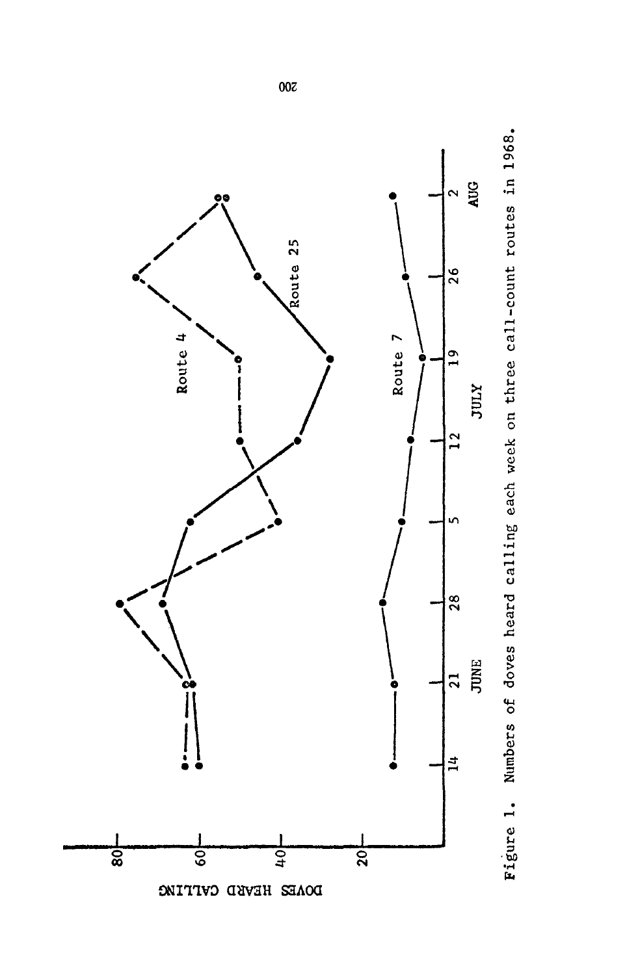

Figure 1. Numbers of doves heard calling each week on three call-count routes in 1968. Figure 1. Numbers of doves heard calling each week on three call-count routes in 1968.